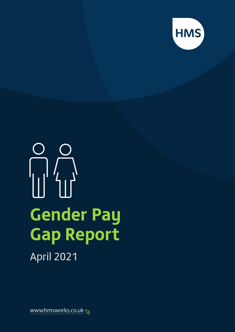

# $\overline{\mathcal{L}}$ **Gender Pay Gap Report** April 2021

www.hmsworks.co.uk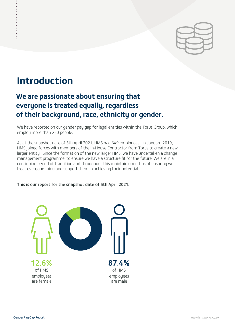

### **Introduction**

...............

### **We are passionate about ensuring that everyone is treated equally, regardless of their background, race, ethnicity or gender.**

We have reported on our gender pay gap for legal entities within the Torus Group, which employ more than 250 people.

As at the snapshot date of 5th April 2021, HMS had 649 employees. In January 2019, HMS joined forces with members of the In-House Contractor from Torus to create a new larger entity. Since the formation of the new larger HMS, we have undertaken a change management programme, to ensure we have a structure fit for the future. We are in a continuing period of transition and throughout this maintain our ethos of ensuring we treat everyone fairly and support them in achieving their potential.

#### This is our report for the snapshot date of 5th April 2021:

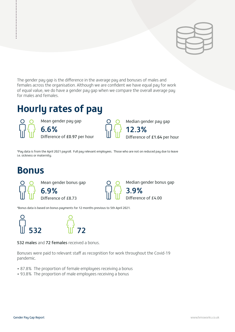The gender pay gap is the difference in the average pay and bonuses of males and females across the organisation. Although we are confident we have equal pay for work of equal value, we do have a gender pay gap when we compare the overall average pay for males and females.

### **Hourly rates of pay**

.................

Mean gender pay gap 6.6% Difference of £0.97 per hour Median gender pay gap

12.3% )ifference of  $£1.64$  per hour

\*Pay data is from the April 2021 payroll. Full pay relevant employees. Those who are not on reduced pay due to leave i.e. sickness or maternity.

### **Bonus**





Median gender bonus gap 3.9%

Difference of £4.00

\*Bonus data is based on bonus payments for 12 months previous to 5th April 2021.



532 males and 72 females received a bonus.

Bonuses were paid to relevant staff as recognition for work throughout the Covid-19 pandemic.

- 87.8% The proportion of female employees receiving a bonus
- 93.8% The proportion of male employees receiving a bonus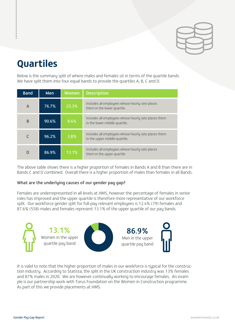

## **Quartiles**

...............

Below is the summary split of where males and females sit in terms of the quartile bands. We have split them into four equal bands to provide the quartiles A, B, C and D.

| <b>Band</b> | <b>Men</b> | Women | <b>Description</b>                                                                    |
|-------------|------------|-------|---------------------------------------------------------------------------------------|
| A           | 76.7%      | 23.3% | Includes all employees whose hourly rate places<br>them in the lower quartile.        |
| B           | 90.6%      | 9.4%  | Includes all employees whose hourly rate places them<br>in the lower middle quartile. |
|             | 96.2%      | 3.8%  | Includes all employees whose hourly rate places them<br>in the upper middle quartile. |
|             | 86.9%      | 13.1% | Includes all employees whose hourly rate places<br>them in the upper quartile         |

The above table shows there is a higher proportion of females in Bands A and B than there are in Bands C and D combined. Overall there is a higher proportion of males than females in all Bands.

### What are the underlying causes of our gender pay gap?

Females are underrepresented in all levels at HMS, however the percentage of females in senior roles has improved and the upper quartile is therefore more representative of our workforce split. Our workforce gender split for full-pay relevant employees is 12.4% (79) females and 87.6% (558) males and females represent 13.1% of the upper quartile of our pay bands.



It is valid to note that the higher proportion of males in our workforce is typical for the construction industry. According to Statista, the split in the UK construction industry was 13% females and 87% males in 2020. We are however continually working to encourage females. An example is our partnership work with Torus Foundation on the Women in Construction programme. As part of this we provide placements at HMS.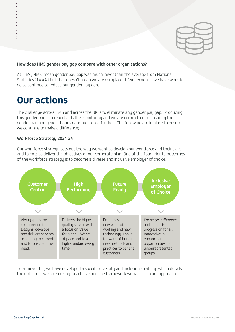

#### How does HMS gender pay gap compare with other organisations?

At 6.6%, HMS' mean gender pay gap was much lower than the average from National Statistics (14.4%) but that doesn't mean we are complacent. We recognise we have work to do to continue to reduce our gender pay gap.

### **Our actions**

.................

The challenge across HMS and across the UK is to eliminate any gender pay gap. Producing this gender pay gap report aids the monitoring and we are committed to ensuring the gender pay and gender bonus gaps are closed further. The following are in place to ensure we continue to make a difference;

#### Workforce Strategy 2021-24

Our workforce strategy sets out the way we want to develop our workforce and their skills and talents to deliver the objectives of our corporate plan. One of the four priority outcomes of the workforce strategy is to become a diverse and inclusive employer of choice.



To achieve this, we have developed a specific diversity and inclusion strategy which details the outcomes we are seeking to achieve and the framework we will use in our approach.